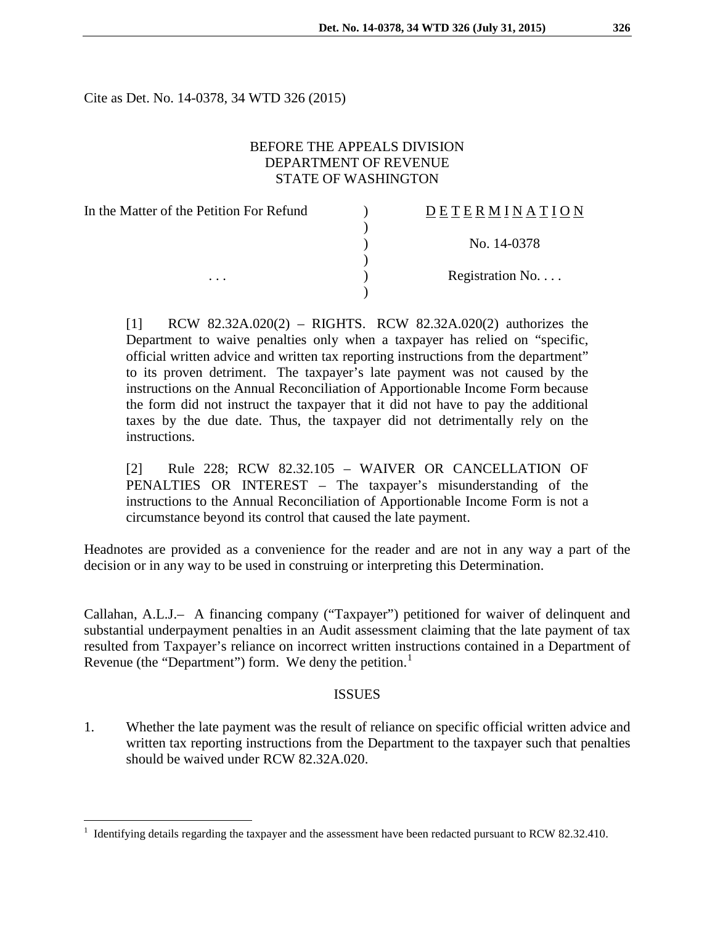Cite as Det. No. 14-0378, 34 WTD 326 (2015)

#### BEFORE THE APPEALS DIVISION DEPARTMENT OF REVENUE STATE OF WASHINGTON

| In the Matter of the Petition For Refund | DETERMINATION   |
|------------------------------------------|-----------------|
|                                          | No. 14-0378     |
|                                          |                 |
| $\cdots$                                 | Registration No |
|                                          |                 |

[1] RCW 82.32A.020(2) – RIGHTS. RCW 82.32A.020(2) authorizes the Department to waive penalties only when a taxpayer has relied on "specific, official written advice and written tax reporting instructions from the department" to its proven detriment. The taxpayer's late payment was not caused by the instructions on the Annual Reconciliation of Apportionable Income Form because the form did not instruct the taxpayer that it did not have to pay the additional taxes by the due date. Thus, the taxpayer did not detrimentally rely on the instructions.

[2] Rule 228; RCW 82.32.105 – WAIVER OR CANCELLATION OF PENALTIES OR INTEREST – The taxpayer's misunderstanding of the instructions to the Annual Reconciliation of Apportionable Income Form is not a circumstance beyond its control that caused the late payment.

Headnotes are provided as a convenience for the reader and are not in any way a part of the decision or in any way to be used in construing or interpreting this Determination.

Callahan, A.L.J.– A financing company ("Taxpayer") petitioned for waiver of delinquent and substantial underpayment penalties in an Audit assessment claiming that the late payment of tax resulted from Taxpayer's reliance on incorrect written instructions contained in a Department of Revenue (the "Department") form. We deny the petition.<sup>[1](#page-0-0)</sup>

#### ISSUES

1. Whether the late payment was the result of reliance on specific official written advice and written tax reporting instructions from the Department to the taxpayer such that penalties should be waived under RCW 82.32A.020.

<span id="page-0-0"></span> <sup>1</sup> Identifying details regarding the taxpayer and the assessment have been redacted pursuant to RCW 82.32.410.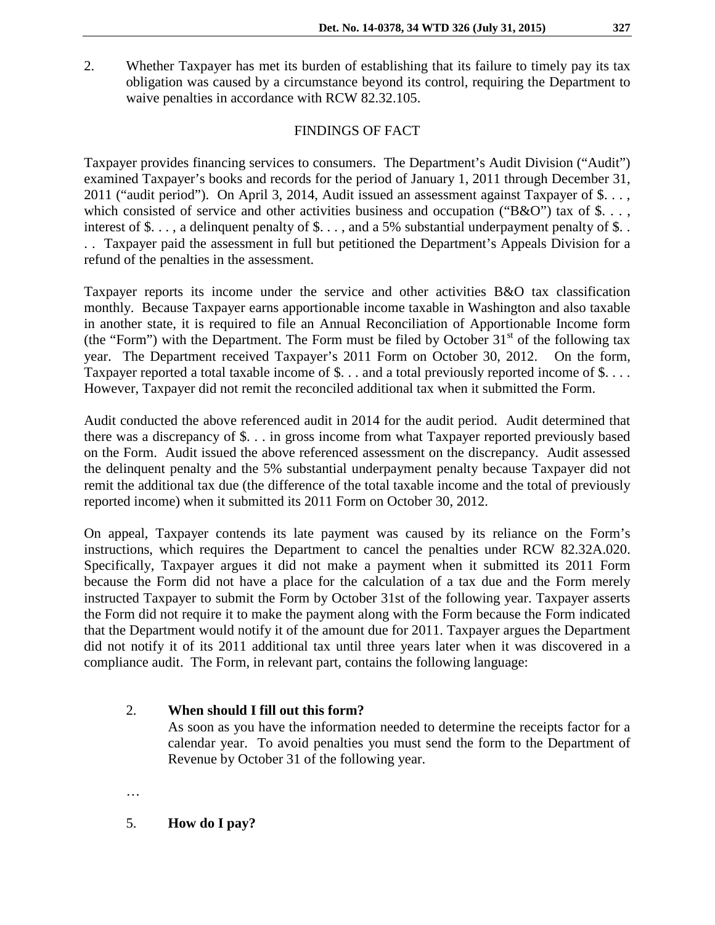2. Whether Taxpayer has met its burden of establishing that its failure to timely pay its tax obligation was caused by a circumstance beyond its control, requiring the Department to waive penalties in accordance with RCW 82.32.105.

## FINDINGS OF FACT

Taxpayer provides financing services to consumers. The Department's Audit Division ("Audit") examined Taxpayer's books and records for the period of January 1, 2011 through December 31, 2011 ("audit period"). On April 3, 2014, Audit issued an assessment against Taxpayer of \$. . . , which consisted of service and other activities business and occupation (" $B&O$ ") tax of \$..., interest of \$..., a delinquent penalty of \$..., and a 5% substantial underpayment penalty of \$... . . Taxpayer paid the assessment in full but petitioned the Department's Appeals Division for a refund of the penalties in the assessment.

Taxpayer reports its income under the service and other activities B&O tax classification monthly. Because Taxpayer earns apportionable income taxable in Washington and also taxable in another state, it is required to file an Annual Reconciliation of Apportionable Income form (the "Form") with the Department. The Form must be filed by October  $31<sup>st</sup>$  of the following tax year. The Department received Taxpayer's 2011 Form on October 30, 2012. On the form, Taxpayer reported a total taxable income of \$... and a total previously reported income of \$.... However, Taxpayer did not remit the reconciled additional tax when it submitted the Form.

Audit conducted the above referenced audit in 2014 for the audit period. Audit determined that there was a discrepancy of \$. . . in gross income from what Taxpayer reported previously based on the Form. Audit issued the above referenced assessment on the discrepancy. Audit assessed the delinquent penalty and the 5% substantial underpayment penalty because Taxpayer did not remit the additional tax due (the difference of the total taxable income and the total of previously reported income) when it submitted its 2011 Form on October 30, 2012.

On appeal, Taxpayer contends its late payment was caused by its reliance on the Form's instructions, which requires the Department to cancel the penalties under RCW 82.32A.020. Specifically, Taxpayer argues it did not make a payment when it submitted its 2011 Form because the Form did not have a place for the calculation of a tax due and the Form merely instructed Taxpayer to submit the Form by October 31st of the following year. Taxpayer asserts the Form did not require it to make the payment along with the Form because the Form indicated that the Department would notify it of the amount due for 2011. Taxpayer argues the Department did not notify it of its 2011 additional tax until three years later when it was discovered in a compliance audit. The Form, in relevant part, contains the following language:

## 2. **When should I fill out this form?**

As soon as you have the information needed to determine the receipts factor for a calendar year. To avoid penalties you must send the form to the Department of Revenue by October 31 of the following year.

…

5. **How do I pay?**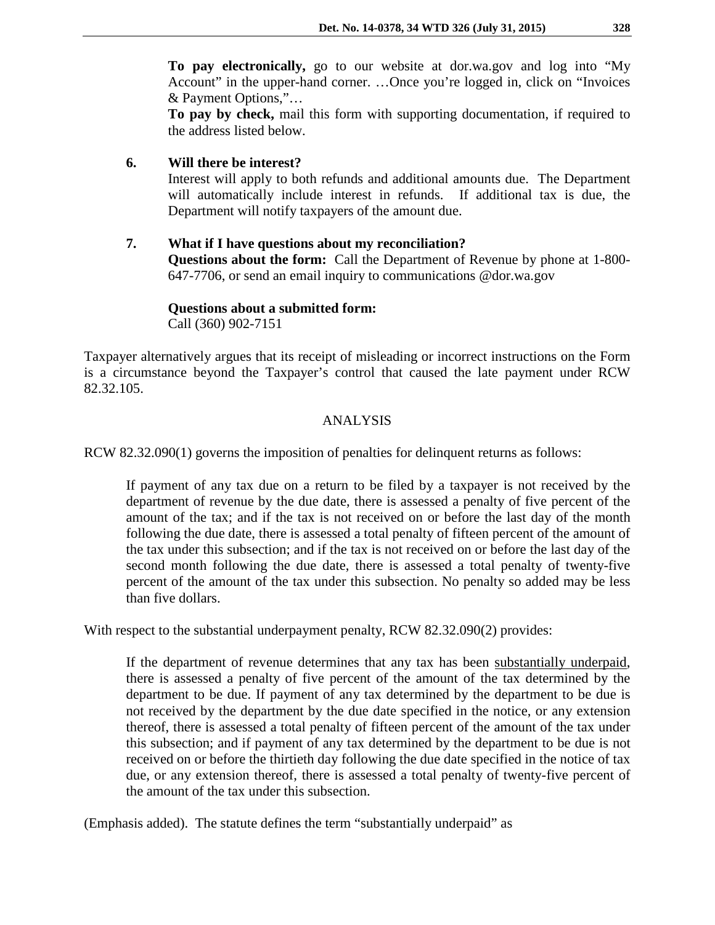**To pay electronically,** go to our website at dor.wa.gov and log into "My Account" in the upper-hand corner. …Once you're logged in, click on "Invoices & Payment Options,"…

**To pay by check,** mail this form with supporting documentation, if required to the address listed below.

**6. Will there be interest?**

Interest will apply to both refunds and additional amounts due. The Department will automatically include interest in refunds. If additional tax is due, the Department will notify taxpayers of the amount due.

## **7. What if I have questions about my reconciliation?**

**Questions about the form:** Call the Department of Revenue by phone at 1-800- 647-7706, or send an email inquiry to communications @dor.wa.gov

**Questions about a submitted form:** Call (360) 902-7151

Taxpayer alternatively argues that its receipt of misleading or incorrect instructions on the Form is a circumstance beyond the Taxpayer's control that caused the late payment under RCW 82.32.105.

## ANALYSIS

RCW 82.32.090(1) governs the imposition of penalties for delinquent returns as follows:

If payment of any tax due on a return to be filed by a taxpayer is not received by the department of revenue by the due date, there is assessed a penalty of five percent of the amount of the tax; and if the tax is not received on or before the last day of the month following the due date, there is assessed a total penalty of fifteen percent of the amount of the tax under this subsection; and if the tax is not received on or before the last day of the second month following the due date, there is assessed a total penalty of twenty-five percent of the amount of the tax under this subsection. No penalty so added may be less than five dollars.

With respect to the substantial underpayment penalty, RCW 82.32.090(2) provides:

If the department of revenue determines that any tax has been substantially underpaid, there is assessed a penalty of five percent of the amount of the tax determined by the department to be due. If payment of any tax determined by the department to be due is not received by the department by the due date specified in the notice, or any extension thereof, there is assessed a total penalty of fifteen percent of the amount of the tax under this subsection; and if payment of any tax determined by the department to be due is not received on or before the thirtieth day following the due date specified in the notice of tax due, or any extension thereof, there is assessed a total penalty of twenty-five percent of the amount of the tax under this subsection.

(Emphasis added). The statute defines the term "substantially underpaid" as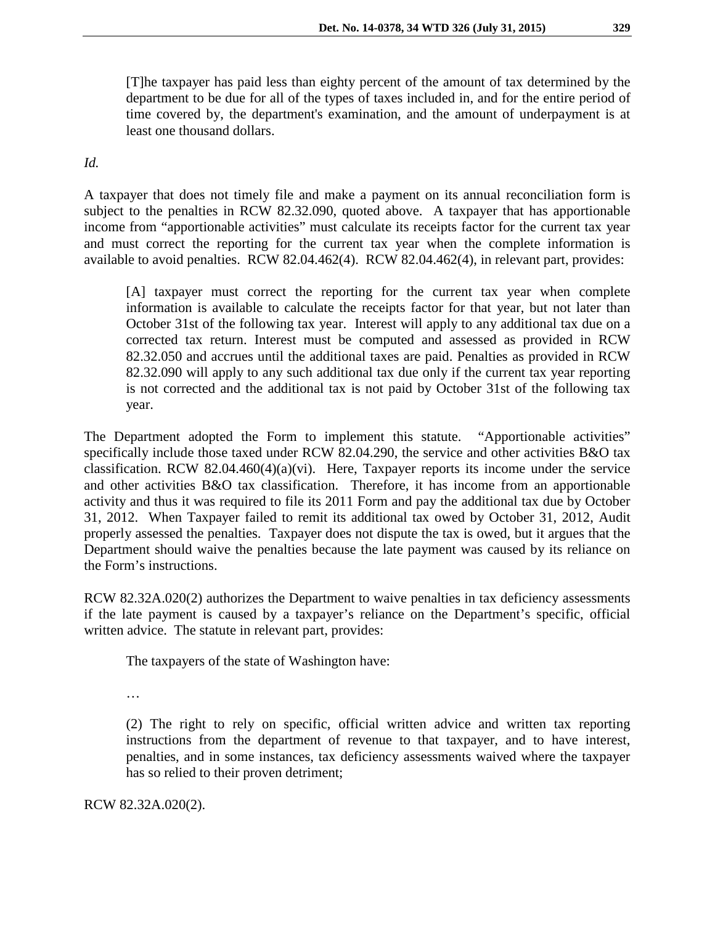[T]he taxpayer has paid less than eighty percent of the amount of tax determined by the department to be due for all of the types of taxes included in, and for the entire period of time covered by, the department's examination, and the amount of underpayment is at least one thousand dollars.

*Id.*

A taxpayer that does not timely file and make a payment on its annual reconciliation form is subject to the penalties in RCW 82.32.090, quoted above. A taxpayer that has apportionable income from "apportionable activities" must calculate its receipts factor for the current tax year and must correct the reporting for the current tax year when the complete information is available to avoid penalties. RCW 82.04.462(4). RCW 82.04.462(4), in relevant part, provides:

[A] taxpayer must correct the reporting for the current tax year when complete information is available to calculate the receipts factor for that year, but not later than October 31st of the following tax year. Interest will apply to any additional tax due on a corrected tax return. Interest must be computed and assessed as provided in RCW [82.32.050](http://apps.leg.wa.gov/rcw/default.aspx?cite=82.32.050) and accrues until the additional taxes are paid. Penalties as provided in RCW [82.32.090](http://app.leg.wa.gov/rcw/default.aspx?cite=82.32.090) will apply to any such additional tax due only if the current tax year reporting is not corrected and the additional tax is not paid by October 31st of the following tax year.

The Department adopted the Form to implement this statute. "Apportionable activities" specifically include those taxed under RCW 82.04.290, the service and other activities B&O tax classification. RCW 82.04.460(4)(a)(vi). Here, Taxpayer reports its income under the service and other activities B&O tax classification. Therefore, it has income from an apportionable activity and thus it was required to file its 2011 Form and pay the additional tax due by October 31, 2012. When Taxpayer failed to remit its additional tax owed by October 31, 2012, Audit properly assessed the penalties. Taxpayer does not dispute the tax is owed, but it argues that the Department should waive the penalties because the late payment was caused by its reliance on the Form's instructions.

RCW 82.32A.020(2) authorizes the Department to waive penalties in tax deficiency assessments if the late payment is caused by a taxpayer's reliance on the Department's specific, official written advice. The statute in relevant part, provides:

The taxpayers of the state of Washington have:

…

(2) The right to rely on specific, official written advice and written tax reporting instructions from the department of revenue to that taxpayer, and to have interest, penalties, and in some instances, tax deficiency assessments waived where the taxpayer has so relied to their proven detriment;

RCW 82.32A.020(2).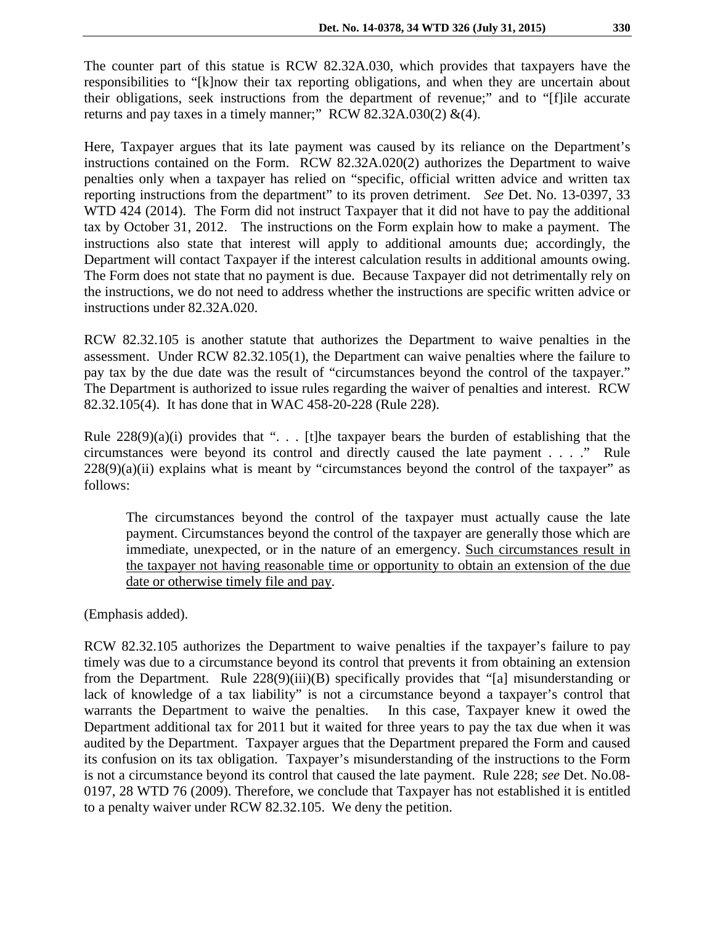The counter part of this statue is RCW 82.32A.030, which provides that taxpayers have the responsibilities to "[k]now their tax reporting obligations, and when they are uncertain about their obligations, seek instructions from the department of revenue;" and to "[f]ile accurate returns and pay taxes in a timely manner;" RCW 82.32A.030(2)  $\&(4)$ .

Here, Taxpayer argues that its late payment was caused by its reliance on the Department's instructions contained on the Form. RCW 82.32A.020(2) authorizes the Department to waive penalties only when a taxpayer has relied on "specific, official written advice and written tax reporting instructions from the department" to its proven detriment. *See* Det. No. 13-0397, 33 WTD 424 (2014). The Form did not instruct Taxpayer that it did not have to pay the additional tax by October 31, 2012. The instructions on the Form explain how to make a payment. The instructions also state that interest will apply to additional amounts due; accordingly, the Department will contact Taxpayer if the interest calculation results in additional amounts owing. The Form does not state that no payment is due. Because Taxpayer did not detrimentally rely on the instructions, we do not need to address whether the instructions are specific written advice or instructions under 82.32A.020.

RCW 82.32.105 is another statute that authorizes the Department to waive penalties in the assessment. Under RCW 82.32.105(1), the Department can waive penalties where the failure to pay tax by the due date was the result of "circumstances beyond the control of the taxpayer." The Department is authorized to issue rules regarding the waiver of penalties and interest. RCW 82.32.105(4). It has done that in WAC 458-20-228 (Rule 228).

Rule  $228(9)(a)(i)$  provides that "... [t]he taxpayer bears the burden of establishing that the circumstances were beyond its control and directly caused the late payment . . . ." Rule  $228(9)(a)(ii)$  explains what is meant by "circumstances beyond the control of the taxpayer" as follows:

The circumstances beyond the control of the taxpayer must actually cause the late payment. Circumstances beyond the control of the taxpayer are generally those which are immediate, unexpected, or in the nature of an emergency. Such circumstances result in the taxpayer not having reasonable time or opportunity to obtain an extension of the due date or otherwise timely file and pay.

(Emphasis added).

RCW 82.32.105 authorizes the Department to waive penalties if the taxpayer's failure to pay timely was due to a circumstance beyond its control that prevents it from obtaining an extension from the Department. Rule 228(9)(iii)(B) specifically provides that "[a] misunderstanding or lack of knowledge of a tax liability" is not a circumstance beyond a taxpayer's control that warrants the Department to waive the penalties. In this case, Taxpayer knew it owed the Department additional tax for 2011 but it waited for three years to pay the tax due when it was audited by the Department. Taxpayer argues that the Department prepared the Form and caused its confusion on its tax obligation. Taxpayer's misunderstanding of the instructions to the Form is not a circumstance beyond its control that caused the late payment. Rule 228; *see* Det. No.08- 0197, 28 WTD 76 (2009). Therefore, we conclude that Taxpayer has not established it is entitled to a penalty waiver under RCW 82.32.105. We deny the petition.